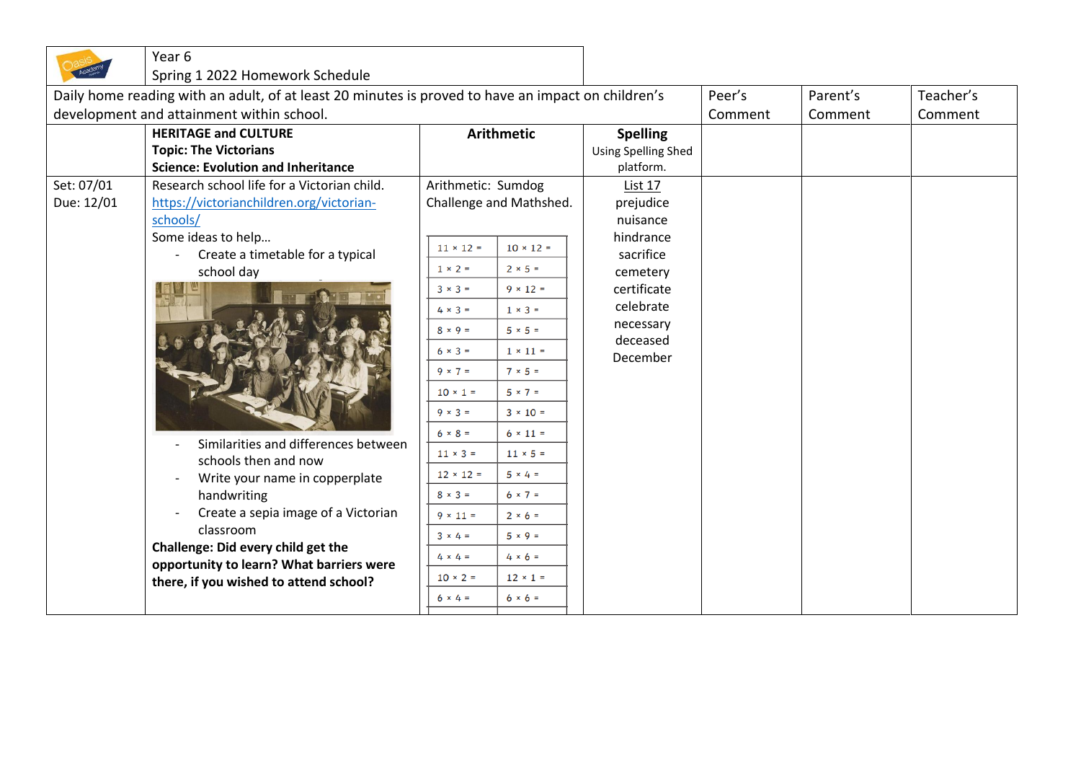|                                                                                                    | Year 6                                                                                                                   |                         |                  |                            |         |          |           |
|----------------------------------------------------------------------------------------------------|--------------------------------------------------------------------------------------------------------------------------|-------------------------|------------------|----------------------------|---------|----------|-----------|
|                                                                                                    | Spring 1 2022 Homework Schedule                                                                                          |                         |                  |                            |         |          |           |
| Daily home reading with an adult, of at least 20 minutes is proved to have an impact on children's |                                                                                                                          |                         |                  |                            | Peer's  | Parent's | Teacher's |
|                                                                                                    | development and attainment within school.                                                                                |                         |                  |                            | Comment | Comment  | Comment   |
|                                                                                                    | <b>HERITAGE and CULTURE</b>                                                                                              | <b>Arithmetic</b>       |                  | <b>Spelling</b>            |         |          |           |
|                                                                                                    | <b>Topic: The Victorians</b>                                                                                             |                         |                  | <b>Using Spelling Shed</b> |         |          |           |
|                                                                                                    | <b>Science: Evolution and Inheritance</b>                                                                                |                         |                  | platform.                  |         |          |           |
| Set: 07/01                                                                                         | Research school life for a Victorian child.<br>Arithmetic: Sumdog                                                        |                         |                  | List 17                    |         |          |           |
| Due: 12/01                                                                                         | https://victorianchildren.org/victorian-                                                                                 | Challenge and Mathshed. |                  | prejudice                  |         |          |           |
|                                                                                                    | schools/                                                                                                                 |                         |                  | nuisance                   |         |          |           |
|                                                                                                    | Some ideas to help                                                                                                       | $11 \times 12 =$        | $10 \times 12 =$ | hindrance                  |         |          |           |
|                                                                                                    | Create a timetable for a typical<br>$\overline{\phantom{a}}$                                                             | $1 \times 2 =$          | $2 \times 5 =$   | sacrifice                  |         |          |           |
|                                                                                                    | school day                                                                                                               |                         |                  | cemetery                   |         |          |           |
|                                                                                                    | Similarities and differences between<br>schools then and now<br>Write your name in copperplate                           | $3 \times 3 =$          | $9 \times 12 =$  | certificate                |         |          |           |
|                                                                                                    |                                                                                                                          | $4 \times 3 =$          | $1 \times 3 =$   | celebrate                  |         |          |           |
|                                                                                                    |                                                                                                                          | $8 \times 9 =$          | $5 \times 5 =$   | necessary<br>deceased      |         |          |           |
|                                                                                                    |                                                                                                                          | $6 \times 3 =$          | $1 \times 11 =$  | December                   |         |          |           |
|                                                                                                    |                                                                                                                          | $9 \times 7 =$          | $7 \times 5 =$   |                            |         |          |           |
|                                                                                                    |                                                                                                                          | $10 \times 1 =$         | $5 \times 7 =$   |                            |         |          |           |
|                                                                                                    |                                                                                                                          | $9 \times 3 =$          | $3 \times 10 =$  |                            |         |          |           |
|                                                                                                    |                                                                                                                          | $6 \times 8 =$          | $6 \times 11 =$  |                            |         |          |           |
|                                                                                                    |                                                                                                                          | $11 \times 3 =$         | $11 \times 5 =$  |                            |         |          |           |
|                                                                                                    |                                                                                                                          | $12 \times 12 =$        | $5 \times 4 =$   |                            |         |          |           |
|                                                                                                    | handwriting                                                                                                              | $8 \times 3 =$          | $6 \times 7 =$   |                            |         |          |           |
|                                                                                                    | Create a sepia image of a Victorian                                                                                      | $9 \times 11 =$         | $2 \times 6 =$   |                            |         |          |           |
|                                                                                                    | classroom                                                                                                                | $3 \times 4 =$          | $5 \times 9 =$   |                            |         |          |           |
|                                                                                                    | Challenge: Did every child get the<br>opportunity to learn? What barriers were<br>there, if you wished to attend school? | $4 \times 4 =$          | $4 \times 6 =$   |                            |         |          |           |
|                                                                                                    |                                                                                                                          | $10 × 2 =$              | $12 \times 1 =$  |                            |         |          |           |
|                                                                                                    |                                                                                                                          |                         |                  |                            |         |          |           |
|                                                                                                    |                                                                                                                          | $6 \times 4 =$          | $6 × 6 =$        |                            |         |          |           |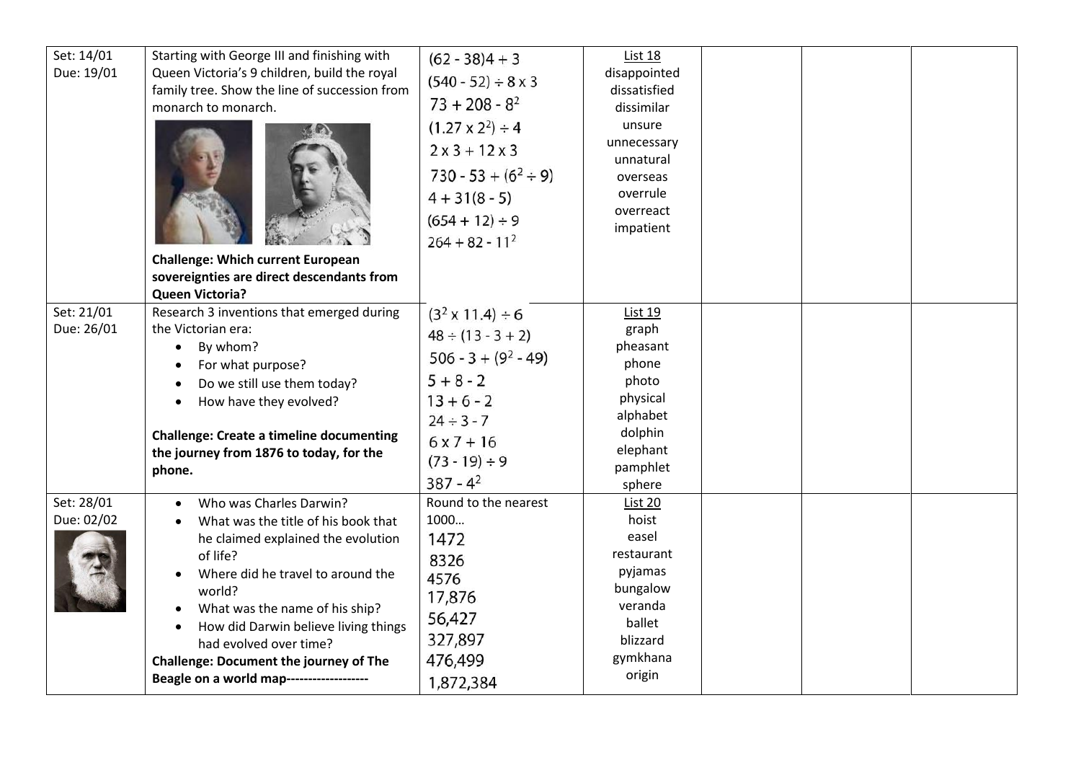| Set: 14/01<br>Due: 19/01 | Starting with George III and finishing with<br>Queen Victoria's 9 children, build the royal<br>family tree. Show the line of succession from<br>monarch to monarch.<br><b>Challenge: Which current European</b>                                                                                                                                                  | $(62 - 38)4 + 3$<br>$(540 - 52) \div 8 \times 3$<br>$73 + 208 - 8^2$<br>$(1.27 \times 2^2) \div 4$<br>$2x3 + 12x3$<br>$730 - 53 + (6^2 \div 9)$<br>$4 + 31(8 - 5)$<br>$(654 + 12) \div 9$<br>$264 + 82 - 11^2$ | List 18<br>disappointed<br>dissatisfied<br>dissimilar<br>unsure<br>unnecessary<br>unnatural<br>overseas<br>overrule<br>overreact<br>impatient |  |  |
|--------------------------|------------------------------------------------------------------------------------------------------------------------------------------------------------------------------------------------------------------------------------------------------------------------------------------------------------------------------------------------------------------|----------------------------------------------------------------------------------------------------------------------------------------------------------------------------------------------------------------|-----------------------------------------------------------------------------------------------------------------------------------------------|--|--|
|                          | sovereignties are direct descendants from<br><b>Queen Victoria?</b>                                                                                                                                                                                                                                                                                              |                                                                                                                                                                                                                |                                                                                                                                               |  |  |
| Set: 21/01<br>Due: 26/01 | Research 3 inventions that emerged during<br>the Victorian era:<br>By whom?<br>For what purpose?<br>Do we still use them today?<br>How have they evolved?<br><b>Challenge: Create a timeline documenting</b><br>the journey from 1876 to today, for the<br>phone.                                                                                                | $(32 \times 11.4) \div 6$<br>$48 \div (13 - 3 + 2)$<br>$506 - 3 + (92 - 49)$<br>$5 + 8 - 2$<br>$13 + 6 - 2$<br>$24 \div 3 - 7$<br>$6x7 + 16$<br>$(73 - 19) \div 9$<br>$387 - 4^2$                              | List 19<br>graph<br>pheasant<br>phone<br>photo<br>physical<br>alphabet<br>dolphin<br>elephant<br>pamphlet<br>sphere                           |  |  |
| Set: 28/01<br>Due: 02/02 | Who was Charles Darwin?<br>What was the title of his book that<br>he claimed explained the evolution<br>of life?<br>Where did he travel to around the<br>world?<br>What was the name of his ship?<br>How did Darwin believe living things<br>had evolved over time?<br><b>Challenge: Document the journey of The</b><br>Beagle on a world map------------------- | Round to the nearest<br>1000<br>1472<br>8326<br>4576<br>17,876<br>56,427<br>327,897<br>476,499<br>1,872,384                                                                                                    | <b>List 20</b><br>hoist<br>easel<br>restaurant<br>pyjamas<br>bungalow<br>veranda<br>ballet<br>blizzard<br>gymkhana<br>origin                  |  |  |